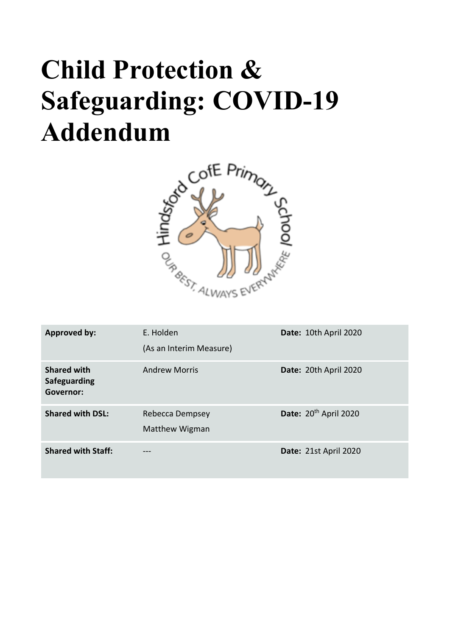# **Child Protection & Safeguarding: COVID-19**



| <b>Approved by:</b>                                           | E. Holden<br>(As an Interim Measure) | Date: 10th April 2020             |
|---------------------------------------------------------------|--------------------------------------|-----------------------------------|
| <b>Shared with</b><br><b>Safeguarding</b><br><b>Governor:</b> | <b>Andrew Morris</b>                 | Date: 20th April 2020             |
| <b>Shared with DSL:</b>                                       | Rebecca Dempsey<br>Matthew Wigman    | Date: 20 <sup>th</sup> April 2020 |
| <b>Shared with Staff:</b>                                     |                                      | Date: 21st April 2020             |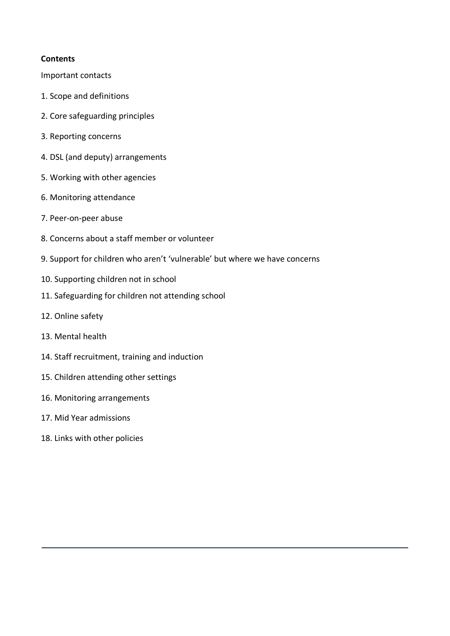#### **Contents**

Important contacts

- 1. Scope and definitions
- 2. Core safeguarding principles
- 3. Reporting concerns
- 4. DSL (and deputy) arrangements
- 5. Working with other agencies
- 6. Monitoring attendance
- 7. Peer-on-peer abuse
- 8. Concerns about a staff member or volunteer
- 9. Support for children who aren't 'vulnerable' but where we have concerns
- 10. Supporting children not in school
- 11. Safeguarding for children not attending school
- 12. Online safety
- 13. Mental health
- 14. Staff recruitment, training and induction
- 15. Children attending other settings
- 16. Monitoring arrangements
- 17. Mid Year admissions
- 18. Links with other policies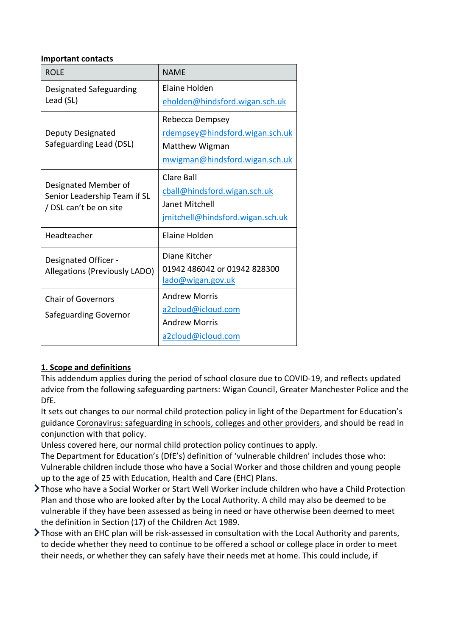#### **Important contacts**

| <b>ROLE</b>                                          | <b>NAME</b>                      |
|------------------------------------------------------|----------------------------------|
| Designated Safeguarding<br>Lead (SL)                 | Elaine Holden                    |
|                                                      | eholden@hindsford.wigan.sch.uk   |
|                                                      | Rebecca Dempsey                  |
| Deputy Designated                                    | rdempsey@hindsford.wigan.sch.uk  |
| Safeguarding Lead (DSL)                              | <b>Matthew Wigman</b>            |
|                                                      | mwigman@hindsford.wigan.sch.uk   |
|                                                      | Clare Ball                       |
| Designated Member of<br>Senior Leadership Team if SL | cball@hindsford.wigan.sch.uk     |
| /DSL can't be on site                                | Janet Mitchell                   |
|                                                      | jmitchell@hindsford.wigan.sch.uk |
| Headteacher                                          | Elaine Holden                    |
| Designated Officer -                                 | Diane Kitcher                    |
| Allegations (Previously LADO)                        | 01942 486042 or 01942 828300     |
|                                                      | lado@wigan.gov.uk                |
| <b>Chair of Governors</b>                            | <b>Andrew Morris</b>             |
| Safeguarding Governor                                | a2cloud@icloud.com               |
|                                                      | <b>Andrew Morris</b>             |
|                                                      | a2cloud@icloud.com               |

# **1. Scope and definitions**

This addendum applies during the period of school closure due to COVID-19, and reflects updated advice from the following safeguarding partners: Wigan Council, Greater Manchester Police and the DfE.

It sets out changes to our normal child protection policy in light of the Department for Education's guidance Coronavirus: safeguarding in schools, colleges and other providers, and should be read in conjunction with that policy.

Unless covered here, our normal child protection policy continues to apply.

The Department for Education's (DfE's) definition of 'vulnerable children' includes those who: Vulnerable children include those who have a Social Worker and those children and young people up to the age of 25 with Education, Health and Care (EHC) Plans.

- Those who have a Social Worker or Start Well Worker include children who have a Child Protection Plan and those who are looked after by the Local Authority. A child may also be deemed to be vulnerable if they have been assessed as being in need or have otherwise been deemed to meet the definition in Section (17) of the Children Act 1989.
- Those with an EHC plan will be risk-assessed in consultation with the Local Authority and parents, to decide whether they need to continue to be offered a school or college place in order to meet their needs, or whether they can safely have their needs met at home. This could include, if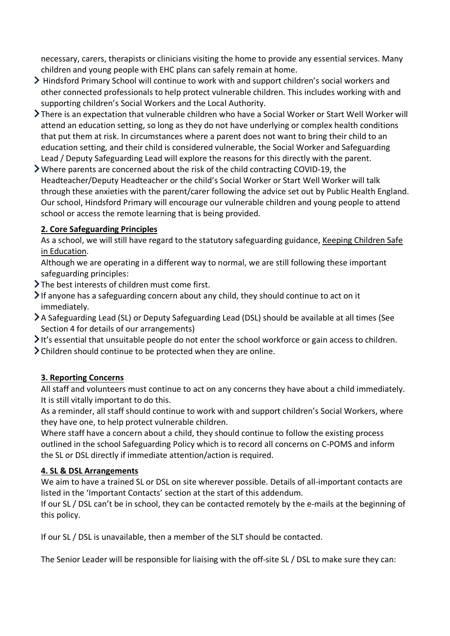necessary, carers, therapists or clinicians visiting the home to provide any essential services. Many children and young people with EHC plans can safely remain at home.

- > Hindsford Primary School will continue to work with and support children's social workers and other connected professionals to help protect vulnerable children. This includes working with and supporting children's Social Workers and the Local Authority.
- $\blacktriangleright$  There is an expectation that vulnerable children who have a Social Worker or Start Well Worker will attend an education setting, so long as they do not have underlying or complex health conditions that put them at risk. In circumstances where a parent does not want to bring their child to an education setting, and their child is considered vulnerable, the Social Worker and Safeguarding Lead / Deputy Safeguarding Lead will explore the reasons for this directly with the parent.
- Where parents are concerned about the risk of the child contracting COVID-19, the Headteacher/Deputy Headteacher or the child's Social Worker or Start Well Worker will talk through these anxieties with the parent/carer following the advice set out by Public Health England. Our school, Hindsford Primary will encourage our vulnerable children and young people to attend school or access the remote learning that is being provided.

## **2. Core Safeguarding Principles**

As a school, we will still have regard to the statutory safeguarding guidance, Keeping Children Safe in Education.

Although we are operating in a different way to normal, we are still following these important safeguarding principles:

- The best interests of children must come first.
- $\blacktriangleright$  If anyone has a safeguarding concern about any child, they should continue to act on it immediately.
- A Safeguarding Lead (SL) or Deputy Safeguarding Lead (DSL) should be available at all times (See Section 4 for details of our arrangements)
- $\blacktriangleright$ It's essential that unsuitable people do not enter the school workforce or gain access to children.
- Children should continue to be protected when they are online.

# **3. Reporting Concerns**

All staff and volunteers must continue to act on any concerns they have about a child immediately. It is still vitally important to do this.

As a reminder, all staff should continue to work with and support children's Social Workers, where they have one, to help protect vulnerable children.

Where staff have a concern about a child, they should continue to follow the existing process outlined in the school Safeguarding Policy which is to record all concerns on C-POMS and inform the SL or DSL directly if immediate attention/action is required.

## **4. SL & DSL Arrangements**

We aim to have a trained SL or DSL on site wherever possible. Details of all-important contacts are listed in the 'Important Contacts' section at the start of this addendum.

If our SL / DSL can't be in school, they can be contacted remotely by the e-mails at the beginning of this policy.

If our SL / DSL is unavailable, then a member of the SLT should be contacted.

The Senior Leader will be responsible for liaising with the off-site SL / DSL to make sure they can: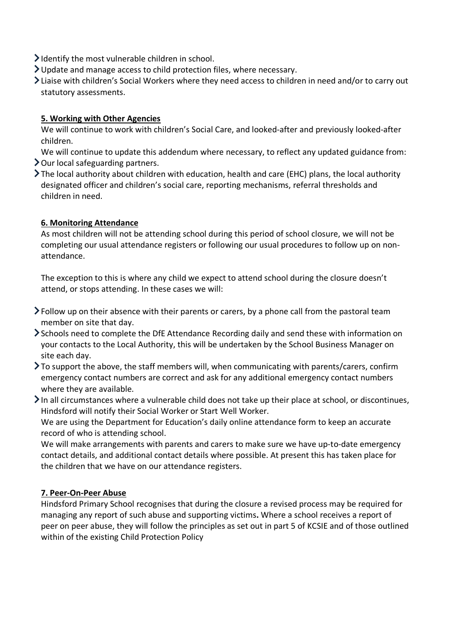- $\blacktriangleright$  Identify the most vulnerable children in school.
- Update and manage access to child protection files, where necessary.
- Liaise with children's Social Workers where they need access to children in need and/or to carry out statutory assessments.

## **5. Working with Other Agencies**

- We will continue to work with children's Social Care, and looked-after and previously looked-after children.
- We will continue to update this addendum where necessary, to reflect any updated guidance from:  $\geq$  Our local safeguarding partners.
- The local authority about children with education, health and care (EHC) plans, the local authority designated officer and children's social care, reporting mechanisms, referral thresholds and children in need.

## **6. Monitoring Attendance**

As most children will not be attending school during this period of school closure, we will not be completing our usual attendance registers or following our usual procedures to follow up on nonattendance.

The exception to this is where any child we expect to attend school during the closure doesn't attend, or stops attending. In these cases we will:

- $\blacktriangleright$  Follow up on their absence with their parents or carers, by a phone call from the pastoral team member on site that day.
- Schools need to complete the DfE Attendance Recording daily and send these with information on your contacts to the Local Authority, this will be undertaken by the School Business Manager on site each day.
- $\sum$  To support the above, the staff members will, when communicating with parents/carers, confirm emergency contact numbers are correct and ask for any additional emergency contact numbers where they are available.
- In all circumstances where a vulnerable child does not take up their place at school, or discontinues, Hindsford will notify their Social Worker or Start Well Worker.

We are using the Department for Education's daily online attendance form to keep an accurate record of who is attending school.

We will make arrangements with parents and carers to make sure we have up-to-date emergency contact details, and additional contact details where possible. At present this has taken place for the children that we have on our attendance registers.

## **7. Peer-On-Peer Abuse**

Hindsford Primary School recognises that during the closure a revised process may be required for managing any report of such abuse and supporting victims**.** Where a school receives a report of peer on peer abuse, they will follow the principles as set out in part 5 of KCSIE and of those outlined within of the existing Child Protection Policy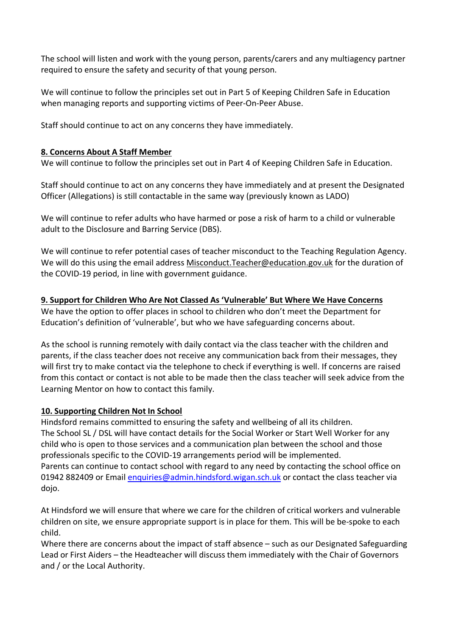The school will listen and work with the young person, parents/carers and any multiagency partner required to ensure the safety and security of that young person.

We will continue to follow the principles set out in Part 5 of Keeping Children Safe in Education when managing reports and supporting victims of Peer-On-Peer Abuse.

Staff should continue to act on any concerns they have immediately.

#### **8. Concerns About A Staff Member**

We will continue to follow the principles set out in Part 4 of Keeping Children Safe in Education.

Staff should continue to act on any concerns they have immediately and at present the Designated Officer (Allegations) is still contactable in the same way (previously known as LADO)

We will continue to refer adults who have harmed or pose a risk of harm to a child or vulnerable adult to the Disclosure and Barring Service (DBS).

We will continue to refer potential cases of teacher misconduct to the Teaching Regulation Agency. We will do this using the email address Misconduct.Teacher@education.gov.uk for the duration of the COVID-19 period, in line with government guidance.

**9. Support for Children Who Are Not Classed As 'Vulnerable' But Where We Have Concerns** We have the option to offer places in school to children who don't meet the Department for Education's definition of 'vulnerable', but who we have safeguarding concerns about.

As the school is running remotely with daily contact via the class teacher with the children and parents, if the class teacher does not receive any communication back from their messages, they will first try to make contact via the telephone to check if everything is well. If concerns are raised from this contact or contact is not able to be made then the class teacher will seek advice from the Learning Mentor on how to contact this family.

## **10. Supporting Children Not In School**

Hindsford remains committed to ensuring the safety and wellbeing of all its children. The School SL / DSL will have contact details for the Social Worker or Start Well Worker for any child who is open to those services and a communication plan between the school and those professionals specific to the COVID-19 arrangements period will be implemented. Parents can continue to contact school with regard to any need by contacting the school office on 01942 882409 or Email enquiries@admin.hindsford.wigan.sch.uk or contact the class teacher via dojo.

At Hindsford we will ensure that where we care for the children of critical workers and vulnerable children on site, we ensure appropriate support is in place for them. This will be be-spoke to each child.

Where there are concerns about the impact of staff absence – such as our Designated Safeguarding Lead or First Aiders – the Headteacher will discuss them immediately with the Chair of Governors and / or the Local Authority.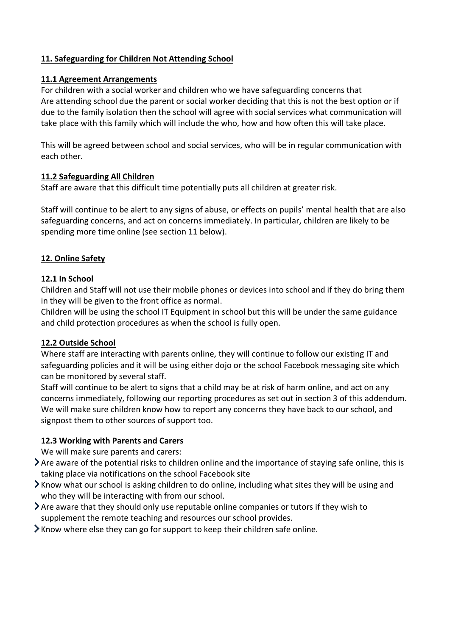## **11. Safeguarding for Children Not Attending School**

#### **11.1 Agreement Arrangements**

For children with a social worker and children who we have safeguarding concerns that Are attending school due the parent or social worker deciding that this is not the best option or if due to the family isolation then the school will agree with social services what communication will take place with this family which will include the who, how and how often this will take place.

This will be agreed between school and social services, who will be in regular communication with each other.

#### **11.2 Safeguarding All Children**

Staff are aware that this difficult time potentially puts all children at greater risk.

Staff will continue to be alert to any signs of abuse, or effects on pupils' mental health that are also safeguarding concerns, and act on concerns immediately. In particular, children are likely to be spending more time online (see section 11 below).

## **12. Online Safety**

## **12.1 In School**

Children and Staff will not use their mobile phones or devices into school and if they do bring them in they will be given to the front office as normal.

Children will be using the school IT Equipment in school but this will be under the same guidance and child protection procedures as when the school is fully open.

#### **12.2 Outside School**

Where staff are interacting with parents online, they will continue to follow our existing IT and safeguarding policies and it will be using either dojo or the school Facebook messaging site which can be monitored by several staff.

Staff will continue to be alert to signs that a child may be at risk of harm online, and act on any concerns immediately, following our reporting procedures as set out in section 3 of this addendum. We will make sure children know how to report any concerns they have back to our school, and signpost them to other sources of support too.

## **12.3 Working with Parents and Carers**

We will make sure parents and carers:

- $\blacktriangleright$  Are aware of the potential risks to children online and the importance of staying safe online, this is taking place via notifications on the school Facebook site
- $\blacktriangleright$  Know what our school is asking children to do online, including what sites they will be using and who they will be interacting with from our school.
- Are aware that they should only use reputable online companies or tutors if they wish to supplement the remote teaching and resources our school provides.
- $\blacktriangleright$  Know where else they can go for support to keep their children safe online.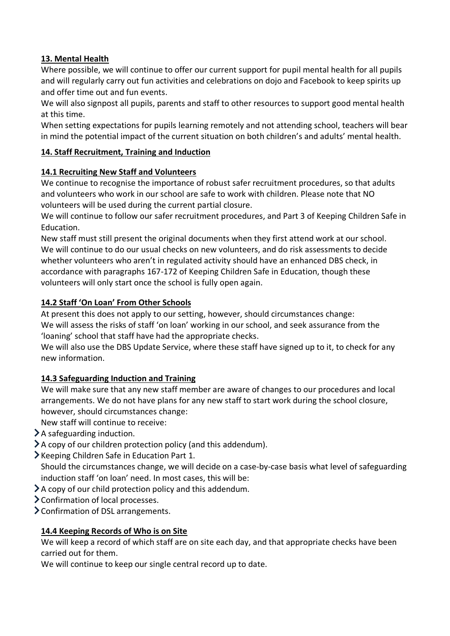# **13. Mental Health**

Where possible, we will continue to offer our current support for pupil mental health for all pupils and will regularly carry out fun activities and celebrations on dojo and Facebook to keep spirits up and offer time out and fun events.

We will also signpost all pupils, parents and staff to other resources to support good mental health at this time.

When setting expectations for pupils learning remotely and not attending school, teachers will bear in mind the potential impact of the current situation on both children's and adults' mental health.

# **14. Staff Recruitment, Training and Induction**

# **14.1 Recruiting New Staff and Volunteers**

We continue to recognise the importance of robust safer recruitment procedures, so that adults and volunteers who work in our school are safe to work with children. Please note that NO volunteers will be used during the current partial closure.

We will continue to follow our safer recruitment procedures, and Part 3 of Keeping Children Safe in Education.

New staff must still present the original documents when they first attend work at our school. We will continue to do our usual checks on new volunteers, and do risk assessments to decide whether volunteers who aren't in regulated activity should have an enhanced DBS check, in accordance with paragraphs 167-172 of Keeping Children Safe in Education, though these volunteers will only start once the school is fully open again.

# **14.2 Staff 'On Loan' From Other Schools**

At present this does not apply to our setting, however, should circumstances change: We will assess the risks of staff 'on loan' working in our school, and seek assurance from the 'loaning' school that staff have had the appropriate checks.

We will also use the DBS Update Service, where these staff have signed up to it, to check for any new information.

# **14.3 Safeguarding Induction and Training**

We will make sure that any new staff member are aware of changes to our procedures and local arrangements. We do not have plans for any new staff to start work during the school closure, however, should circumstances change:

New staff will continue to receive:

- A safeguarding induction.
- $\geq$  A copy of our children protection policy (and this addendum).
- Keeping Children Safe in Education Part 1.

Should the circumstances change, we will decide on a case-by-case basis what level of safeguarding induction staff 'on loan' need. In most cases, this will be:

- A copy of our child protection policy and this addendum.
- Confirmation of local processes.
- > Confirmation of DSL arrangements.

# **14.4 Keeping Records of Who is on Site**

We will keep a record of which staff are on site each day, and that appropriate checks have been carried out for them.

We will continue to keep our single central record up to date.